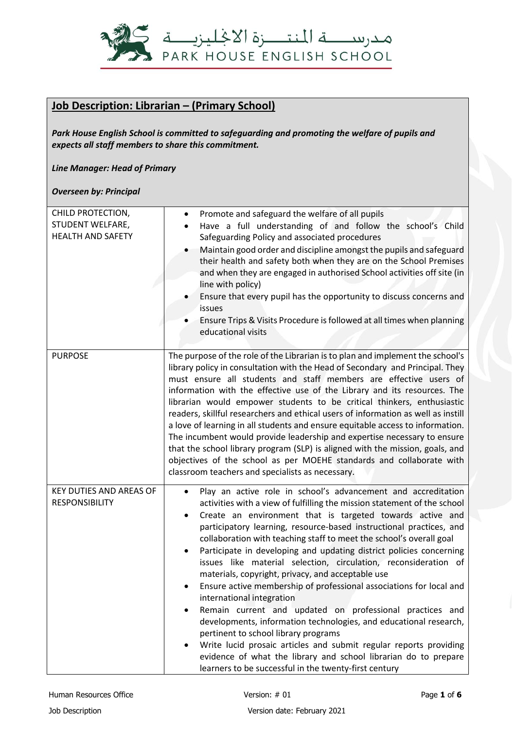

## **Job Description: Librarian – (Primary School)**

*Park House English School is committed to safeguarding and promoting the welfare of pupils and expects all staff members to share this commitment.*

*Line Manager: Head of Primary*

*Overseen by: Principal*

| CHILD PROTECTION,<br>STUDENT WELFARE,<br><b>HEALTH AND SAFETY</b> | Promote and safeguard the welfare of all pupils<br>Have a full understanding of and follow the school's Child<br>Safeguarding Policy and associated procedures<br>Maintain good order and discipline amongst the pupils and safeguard<br>their health and safety both when they are on the School Premises<br>and when they are engaged in authorised School activities off site (in<br>line with policy)<br>Ensure that every pupil has the opportunity to discuss concerns and<br>issues<br>Ensure Trips & Visits Procedure is followed at all times when planning<br>educational visits                                                                                                                                                                                                                                                                                                                                                                                                                                                                  |
|-------------------------------------------------------------------|-------------------------------------------------------------------------------------------------------------------------------------------------------------------------------------------------------------------------------------------------------------------------------------------------------------------------------------------------------------------------------------------------------------------------------------------------------------------------------------------------------------------------------------------------------------------------------------------------------------------------------------------------------------------------------------------------------------------------------------------------------------------------------------------------------------------------------------------------------------------------------------------------------------------------------------------------------------------------------------------------------------------------------------------------------------|
| <b>PURPOSE</b>                                                    | The purpose of the role of the Librarian is to plan and implement the school's<br>library policy in consultation with the Head of Secondary and Principal. They<br>must ensure all students and staff members are effective users of<br>information with the effective use of the Library and its resources. The<br>librarian would empower students to be critical thinkers, enthusiastic<br>readers, skillful researchers and ethical users of information as well as instill<br>a love of learning in all students and ensure equitable access to information.<br>The incumbent would provide leadership and expertise necessary to ensure<br>that the school library program (SLP) is aligned with the mission, goals, and<br>objectives of the school as per MOEHE standards and collaborate with<br>classroom teachers and specialists as necessary.                                                                                                                                                                                                  |
| KEY DUTIES AND AREAS OF<br><b>RESPONSIBILITY</b>                  | Play an active role in school's advancement and accreditation<br>$\bullet$<br>activities with a view of fulfilling the mission statement of the school<br>Create an environment that is targeted towards active and<br>participatory learning, resource-based instructional practices, and<br>collaboration with teaching staff to meet the school's overall goal<br>Participate in developing and updating district policies concerning<br>$\bullet$<br>issues like material selection, circulation, reconsideration of<br>materials, copyright, privacy, and acceptable use<br>Ensure active membership of professional associations for local and<br>international integration<br>Remain current and updated on professional practices and<br>developments, information technologies, and educational research,<br>pertinent to school library programs<br>Write lucid prosaic articles and submit regular reports providing<br>evidence of what the library and school librarian do to prepare<br>learners to be successful in the twenty-first century |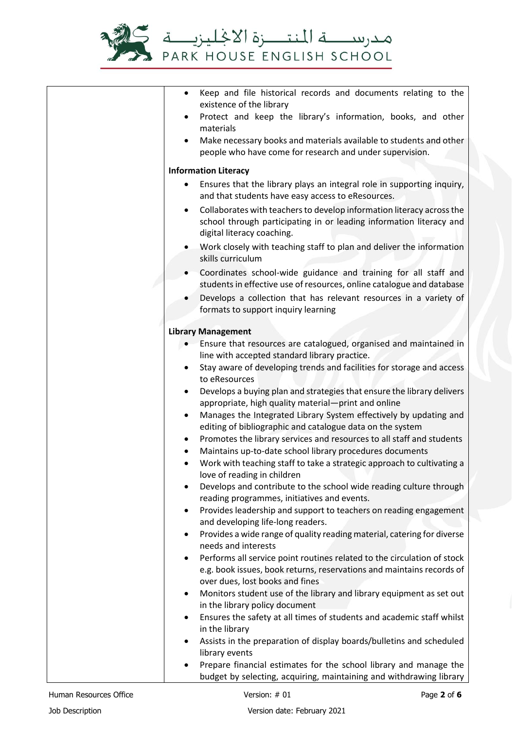

| $\bullet$ | Keep and file historical records and documents relating to the<br>existence of the library                                               |
|-----------|------------------------------------------------------------------------------------------------------------------------------------------|
|           | Protect and keep the library's information, books, and other                                                                             |
|           | materials                                                                                                                                |
|           | Make necessary books and materials available to students and other<br>people who have come for research and under supervision.           |
|           | <b>Information Literacy</b>                                                                                                              |
|           | Ensures that the library plays an integral role in supporting inquiry,<br>and that students have easy access to eResources.              |
| $\bullet$ | Collaborates with teachers to develop information literacy across the                                                                    |
|           | school through participating in or leading information literacy and<br>digital literacy coaching.                                        |
|           | Work closely with teaching staff to plan and deliver the information                                                                     |
|           | skills curriculum                                                                                                                        |
|           | Coordinates school-wide guidance and training for all staff and<br>students in effective use of resources, online catalogue and database |
|           | Develops a collection that has relevant resources in a variety of<br>formats to support inquiry learning                                 |
|           | <b>Library Management</b>                                                                                                                |
|           | Ensure that resources are catalogued, organised and maintained in                                                                        |
|           | line with accepted standard library practice.                                                                                            |
|           | Stay aware of developing trends and facilities for storage and access                                                                    |
| $\bullet$ | to eResources<br>Develops a buying plan and strategies that ensure the library delivers                                                  |
|           | appropriate, high quality material-print and online                                                                                      |
| $\bullet$ | Manages the Integrated Library System effectively by updating and<br>editing of bibliographic and catalogue data on the system           |
|           | Promotes the library services and resources to all staff and students                                                                    |
|           | Maintains up-to-date school library procedures documents                                                                                 |
|           | Work with teaching staff to take a strategic approach to cultivating a<br>love of reading in children                                    |
| ٠         | Develops and contribute to the school wide reading culture through                                                                       |
|           | reading programmes, initiatives and events.                                                                                              |
| $\bullet$ | Provides leadership and support to teachers on reading engagement<br>and developing life-long readers.                                   |
| ٠         | Provides a wide range of quality reading material, catering for diverse                                                                  |
|           | needs and interests                                                                                                                      |
| $\bullet$ | Performs all service point routines related to the circulation of stock                                                                  |
|           | e.g. book issues, book returns, reservations and maintains records of<br>over dues, lost books and fines                                 |
| $\bullet$ | Monitors student use of the library and library equipment as set out                                                                     |
|           | in the library policy document                                                                                                           |
| $\bullet$ | Ensures the safety at all times of students and academic staff whilst                                                                    |
|           | in the library                                                                                                                           |
| $\bullet$ | Assists in the preparation of display boards/bulletins and scheduled<br>library events                                                   |
|           | Prepare financial estimates for the school library and manage the                                                                        |
|           | budget by selecting, acquiring, maintaining and withdrawing library                                                                      |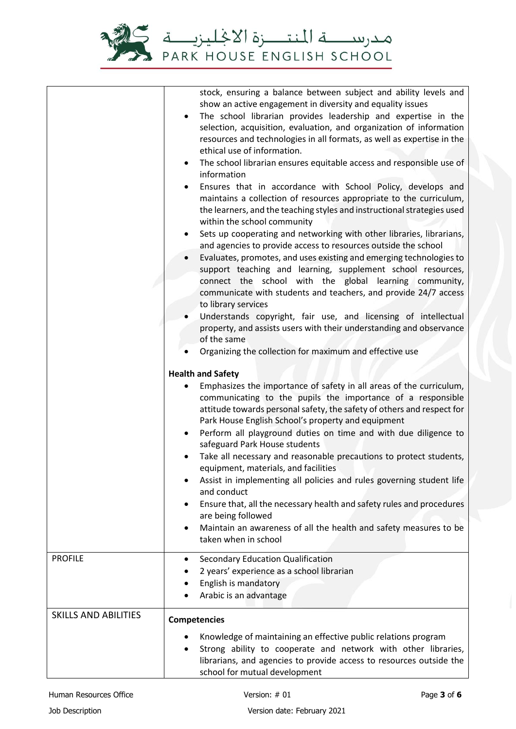

|                             | stock, ensuring a balance between subject and ability levels and<br>show an active engagement in diversity and equality issues<br>The school librarian provides leadership and expertise in the<br>$\bullet$<br>selection, acquisition, evaluation, and organization of information<br>resources and technologies in all formats, as well as expertise in the<br>ethical use of information.<br>The school librarian ensures equitable access and responsible use of<br>$\bullet$<br>information<br>Ensures that in accordance with School Policy, develops and<br>$\bullet$<br>maintains a collection of resources appropriate to the curriculum,<br>the learners, and the teaching styles and instructional strategies used<br>within the school community<br>Sets up cooperating and networking with other libraries, librarians,<br>$\bullet$<br>and agencies to provide access to resources outside the school<br>Evaluates, promotes, and uses existing and emerging technologies to<br>support teaching and learning, supplement school resources,<br>connect the school with the global learning community,<br>communicate with students and teachers, and provide 24/7 access<br>to library services<br>Understands copyright, fair use, and licensing of intellectual<br>property, and assists users with their understanding and observance<br>of the same<br>Organizing the collection for maximum and effective use |
|-----------------------------|----------------------------------------------------------------------------------------------------------------------------------------------------------------------------------------------------------------------------------------------------------------------------------------------------------------------------------------------------------------------------------------------------------------------------------------------------------------------------------------------------------------------------------------------------------------------------------------------------------------------------------------------------------------------------------------------------------------------------------------------------------------------------------------------------------------------------------------------------------------------------------------------------------------------------------------------------------------------------------------------------------------------------------------------------------------------------------------------------------------------------------------------------------------------------------------------------------------------------------------------------------------------------------------------------------------------------------------------------------------------------------------------------------------------------------|
|                             | <b>Health and Safety</b>                                                                                                                                                                                                                                                                                                                                                                                                                                                                                                                                                                                                                                                                                                                                                                                                                                                                                                                                                                                                                                                                                                                                                                                                                                                                                                                                                                                                         |
|                             | Emphasizes the importance of safety in all areas of the curriculum,<br>$\bullet$<br>communicating to the pupils the importance of a responsible<br>attitude towards personal safety, the safety of others and respect for<br>Park House English School's property and equipment<br>Perform all playground duties on time and with due diligence to<br>$\bullet$<br>safeguard Park House students<br>Take all necessary and reasonable precautions to protect students,<br>$\bullet$<br>equipment, materials, and facilities<br>Assist in implementing all policies and rules governing student life<br>and conduct<br>Ensure that, all the necessary health and safety rules and procedures<br>are being followed<br>Maintain an awareness of all the health and safety measures to be<br>$\bullet$<br>taken when in school                                                                                                                                                                                                                                                                                                                                                                                                                                                                                                                                                                                                      |
| <b>PROFILE</b>              | Secondary Education Qualification<br>٠                                                                                                                                                                                                                                                                                                                                                                                                                                                                                                                                                                                                                                                                                                                                                                                                                                                                                                                                                                                                                                                                                                                                                                                                                                                                                                                                                                                           |
|                             | 2 years' experience as a school librarian                                                                                                                                                                                                                                                                                                                                                                                                                                                                                                                                                                                                                                                                                                                                                                                                                                                                                                                                                                                                                                                                                                                                                                                                                                                                                                                                                                                        |
|                             | English is mandatory<br>Arabic is an advantage                                                                                                                                                                                                                                                                                                                                                                                                                                                                                                                                                                                                                                                                                                                                                                                                                                                                                                                                                                                                                                                                                                                                                                                                                                                                                                                                                                                   |
|                             |                                                                                                                                                                                                                                                                                                                                                                                                                                                                                                                                                                                                                                                                                                                                                                                                                                                                                                                                                                                                                                                                                                                                                                                                                                                                                                                                                                                                                                  |
| <b>SKILLS AND ABILITIES</b> | <b>Competencies</b>                                                                                                                                                                                                                                                                                                                                                                                                                                                                                                                                                                                                                                                                                                                                                                                                                                                                                                                                                                                                                                                                                                                                                                                                                                                                                                                                                                                                              |
|                             | Knowledge of maintaining an effective public relations program<br>$\bullet$<br>Strong ability to cooperate and network with other libraries,<br>librarians, and agencies to provide access to resources outside the<br>school for mutual development                                                                                                                                                                                                                                                                                                                                                                                                                                                                                                                                                                                                                                                                                                                                                                                                                                                                                                                                                                                                                                                                                                                                                                             |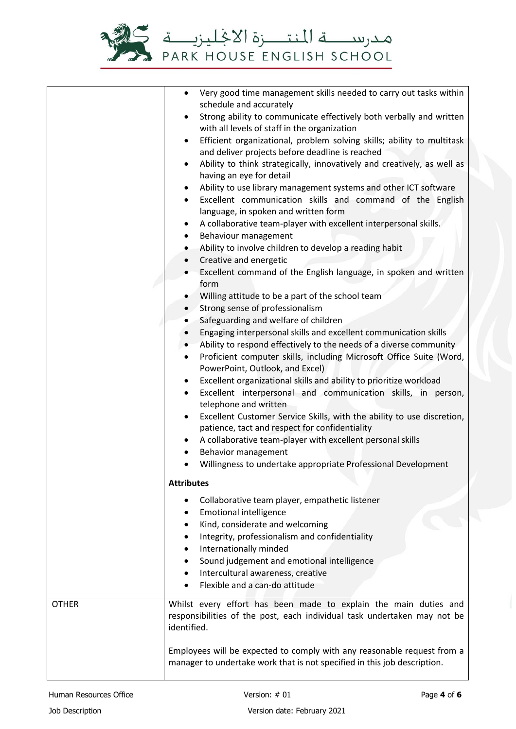

|              | Very good time management skills needed to carry out tasks within<br>$\bullet$<br>schedule and accurately                                    |
|--------------|----------------------------------------------------------------------------------------------------------------------------------------------|
|              | Strong ability to communicate effectively both verbally and written<br>$\bullet$                                                             |
|              | with all levels of staff in the organization                                                                                                 |
|              | Efficient organizational, problem solving skills; ability to multitask<br>$\bullet$<br>and deliver projects before deadline is reached       |
|              | Ability to think strategically, innovatively and creatively, as well as<br>$\bullet$                                                         |
|              | having an eye for detail                                                                                                                     |
|              | Ability to use library management systems and other ICT software<br>$\bullet$                                                                |
|              | Excellent communication skills and command of the English<br>$\bullet$                                                                       |
|              | language, in spoken and written form                                                                                                         |
|              | A collaborative team-player with excellent interpersonal skills.<br>$\bullet$                                                                |
|              | Behaviour management<br>$\bullet$                                                                                                            |
|              | Ability to involve children to develop a reading habit<br>$\bullet$<br>Creative and energetic<br>$\bullet$                                   |
|              | Excellent command of the English language, in spoken and written                                                                             |
|              | form                                                                                                                                         |
|              | Willing attitude to be a part of the school team                                                                                             |
|              | Strong sense of professionalism<br>$\bullet$                                                                                                 |
|              | Safeguarding and welfare of children                                                                                                         |
|              | Engaging interpersonal skills and excellent communication skills<br>$\bullet$                                                                |
|              | Ability to respond effectively to the needs of a diverse community<br>$\bullet$                                                              |
|              | Proficient computer skills, including Microsoft Office Suite (Word,<br>$\bullet$<br>PowerPoint, Outlook, and Excel)                          |
|              | Excellent organizational skills and ability to prioritize workload<br>$\bullet$                                                              |
|              | Excellent interpersonal and communication skills, in person,<br>$\bullet$<br>telephone and written                                           |
|              | Excellent Customer Service Skills, with the ability to use discretion,<br>$\bullet$                                                          |
|              | patience, tact and respect for confidentiality                                                                                               |
|              | A collaborative team-player with excellent personal skills                                                                                   |
|              | Behavior management                                                                                                                          |
|              | Willingness to undertake appropriate Professional Development<br>$\bullet$                                                                   |
|              | <b>Attributes</b>                                                                                                                            |
|              | Collaborative team player, empathetic listener                                                                                               |
|              | <b>Emotional intelligence</b>                                                                                                                |
|              | Kind, considerate and welcoming                                                                                                              |
|              | Integrity, professionalism and confidentiality                                                                                               |
|              | Internationally minded                                                                                                                       |
|              | Sound judgement and emotional intelligence<br>Intercultural awareness, creative                                                              |
|              | Flexible and a can-do attitude                                                                                                               |
|              |                                                                                                                                              |
| <b>OTHER</b> | Whilst every effort has been made to explain the main duties and<br>responsibilities of the post, each individual task undertaken may not be |
|              | identified.                                                                                                                                  |
|              | Employees will be expected to comply with any reasonable request from a                                                                      |
|              | manager to undertake work that is not specified in this job description.                                                                     |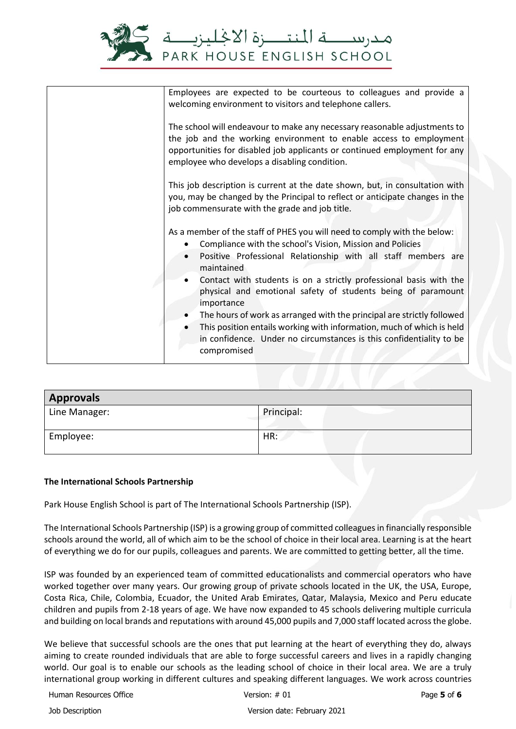

| Employees are expected to be courteous to colleagues and provide a<br>welcoming environment to visitors and telephone callers.                                                                                                                                                                                                                                                                                                                                                                                                                                                                                    |
|-------------------------------------------------------------------------------------------------------------------------------------------------------------------------------------------------------------------------------------------------------------------------------------------------------------------------------------------------------------------------------------------------------------------------------------------------------------------------------------------------------------------------------------------------------------------------------------------------------------------|
| The school will endeavour to make any necessary reasonable adjustments to<br>the job and the working environment to enable access to employment<br>opportunities for disabled job applicants or continued employment for any<br>employee who develops a disabling condition.                                                                                                                                                                                                                                                                                                                                      |
| This job description is current at the date shown, but, in consultation with<br>you, may be changed by the Principal to reflect or anticipate changes in the<br>job commensurate with the grade and job title.                                                                                                                                                                                                                                                                                                                                                                                                    |
| As a member of the staff of PHES you will need to comply with the below:<br>Compliance with the school's Vision, Mission and Policies<br>Positive Professional Relationship with all staff members are<br>maintained<br>Contact with students is on a strictly professional basis with the<br>physical and emotional safety of students being of paramount<br>importance<br>The hours of work as arranged with the principal are strictly followed<br>This position entails working with information, much of which is held<br>in confidence. Under no circumstances is this confidentiality to be<br>compromised |

| <b>Approvals</b> |            |  |
|------------------|------------|--|
| Line Manager:    | Principal: |  |
| Employee:        | HR:        |  |

## **The International Schools Partnership**

Park House English School is part of The International Schools Partnership (ISP).

The International Schools Partnership (ISP) is a growing group of committed colleagues in financially responsible schools around the world, all of which aim to be the school of choice in their local area. Learning is at the heart of everything we do for our pupils, colleagues and parents. We are committed to getting better, all the time.

ISP was founded by an experienced team of committed educationalists and commercial operators who have worked together over many years. Our growing group of private schools located in the UK, the USA, Europe, Costa Rica, Chile, Colombia, Ecuador, the United Arab Emirates, Qatar, Malaysia, Mexico and Peru educate children and pupils from 2-18 years of age. We have now expanded to 45 schools delivering multiple curricula and building on local brands and reputations with around 45,000 pupils and 7,000 staff located across the globe.

We believe that successful schools are the ones that put learning at the heart of everything they do, always aiming to create rounded individuals that are able to forge successful careers and lives in a rapidly changing world. Our goal is to enable our schools as the leading school of choice in their local area. We are a truly international group working in different cultures and speaking different languages. We work across countries